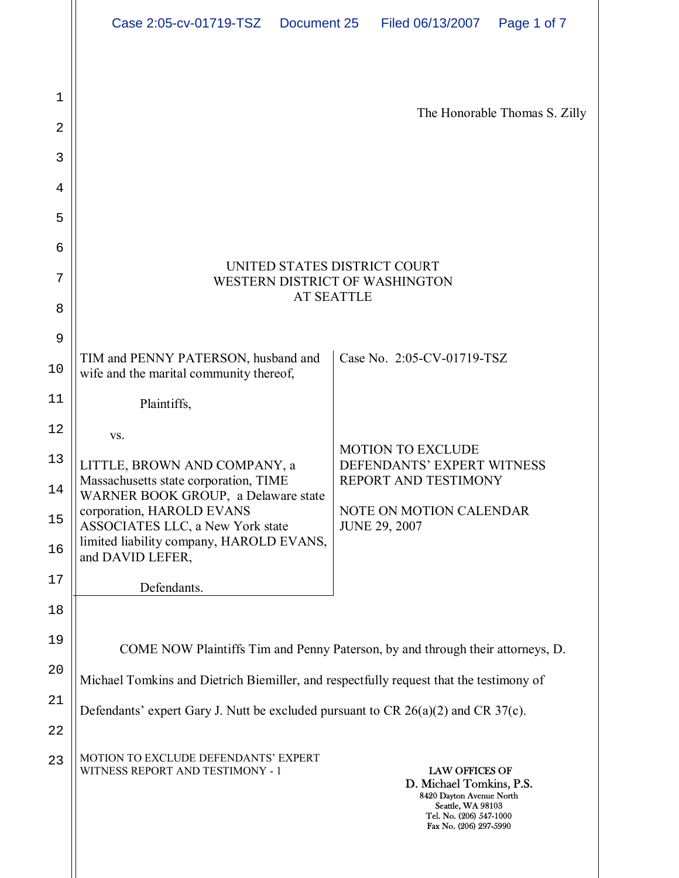| Case 2:05-cv-01719-TSZ  Document 25 | Filed 06/13/2007  Page 1 of 7 |  |
|-------------------------------------|-------------------------------|--|
|                                     |                               |  |

| 1                    |                                                                                                                                                                                                                                                      |                                                                                                                                                         |  |
|----------------------|------------------------------------------------------------------------------------------------------------------------------------------------------------------------------------------------------------------------------------------------------|---------------------------------------------------------------------------------------------------------------------------------------------------------|--|
| 2                    |                                                                                                                                                                                                                                                      | The Honorable Thomas S. Zilly                                                                                                                           |  |
| 3                    |                                                                                                                                                                                                                                                      |                                                                                                                                                         |  |
| 4                    |                                                                                                                                                                                                                                                      |                                                                                                                                                         |  |
| 5                    |                                                                                                                                                                                                                                                      |                                                                                                                                                         |  |
| 6                    |                                                                                                                                                                                                                                                      |                                                                                                                                                         |  |
| 7                    | UNITED STATES DISTRICT COURT<br>WESTERN DISTRICT OF WASHINGTON<br><b>AT SEATTLE</b>                                                                                                                                                                  |                                                                                                                                                         |  |
| 8                    |                                                                                                                                                                                                                                                      |                                                                                                                                                         |  |
| 9                    |                                                                                                                                                                                                                                                      |                                                                                                                                                         |  |
| 10                   | TIM and PENNY PATERSON, husband and<br>wife and the marital community thereof,                                                                                                                                                                       | Case No. 2:05-CV-01719-TSZ                                                                                                                              |  |
| 11                   | Plaintiffs,                                                                                                                                                                                                                                          |                                                                                                                                                         |  |
| 12                   | VS.                                                                                                                                                                                                                                                  |                                                                                                                                                         |  |
| 13<br>14<br>15<br>16 | LITTLE, BROWN AND COMPANY, a<br>Massachusetts state corporation, TIME<br>WARNER BOOK GROUP, a Delaware state<br>corporation, HAROLD EVANS<br><b>ASSOCIATES LLC, a New York state</b><br>limited liability company, HAROLD EVANS,<br>and DAVID LEFER, | <b>MOTION TO EXCLUDE</b><br>DEFENDANTS' EXPERT WITNESS<br>REPORT AND TESTIMONY<br>NOTE ON MOTION CALENDAR<br><b>JUNE 29, 2007</b>                       |  |
| 17                   | Defendants.                                                                                                                                                                                                                                          |                                                                                                                                                         |  |
| 18                   |                                                                                                                                                                                                                                                      |                                                                                                                                                         |  |
| 19                   |                                                                                                                                                                                                                                                      | COME NOW Plaintiffs Tim and Penny Paterson, by and through their attorneys, D.                                                                          |  |
| 20                   | Michael Tomkins and Dietrich Biemiller, and respectfully request that the testimony of                                                                                                                                                               |                                                                                                                                                         |  |
| 21                   | Defendants' expert Gary J. Nutt be excluded pursuant to CR $26(a)(2)$ and CR $37(c)$ .                                                                                                                                                               |                                                                                                                                                         |  |
| 22                   |                                                                                                                                                                                                                                                      |                                                                                                                                                         |  |
| 23                   | MOTION TO EXCLUDE DEFENDANTS' EXPERT<br>WITNESS REPORT AND TESTIMONY - 1                                                                                                                                                                             | <b>LAW OFFICES OF</b><br>D. Michael Tomkins, P.S.<br>8420 Dayton Avenue North<br>Seattle, WA 98103<br>Tel. No. (206) 547-1000<br>Fax No. (206) 297-5990 |  |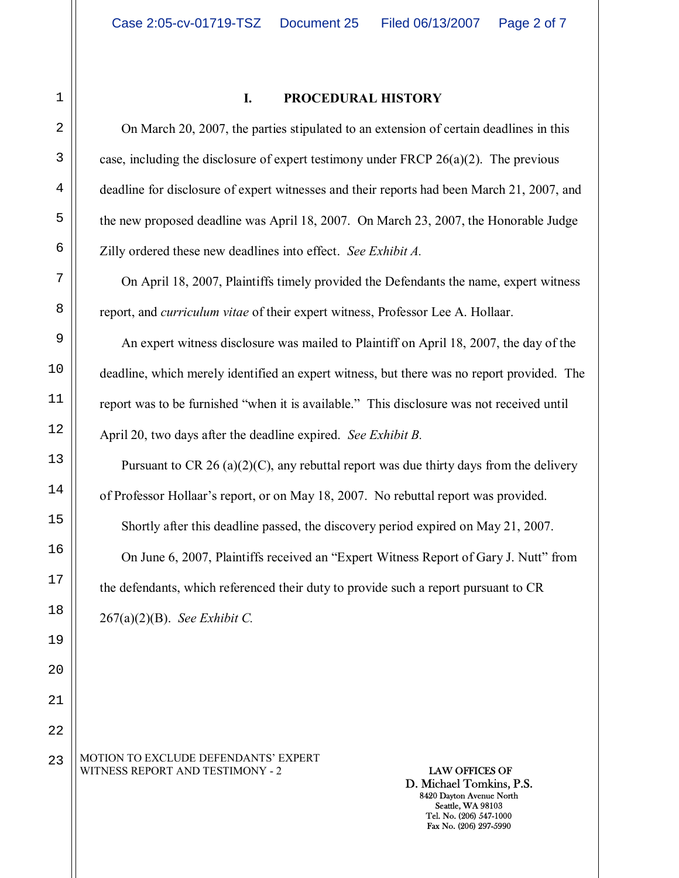23

#### **I. PROCEDURAL HISTORY**

On March 20, 2007, the parties stipulated to an extension of certain deadlines in this case, including the disclosure of expert testimony under FRCP 26(a)(2). The previous deadline for disclosure of expert witnesses and their reports had been March 21, 2007, and the new proposed deadline was April 18, 2007. On March 23, 2007, the Honorable Judge Zilly ordered these new deadlines into effect. *See Exhibit A.* 

On April 18, 2007, Plaintiffs timely provided the Defendants the name, expert witness report, and *curriculum vitae* of their expert witness, Professor Lee A. Hollaar.

An expert witness disclosure was mailed to Plaintiff on April 18, 2007, the day of the deadline, which merely identified an expert witness, but there was no report provided. The report was to be furnished "when it is available." This disclosure was not received until April 20, two days after the deadline expired. *See Exhibit B.* 

Pursuant to CR 26 (a)(2)(C), any rebuttal report was due thirty days from the delivery of Professor Hollaarís report, or on May 18, 2007. No rebuttal report was provided. Shortly after this deadline passed, the discovery period expired on May 21, 2007. On June 6, 2007, Plaintiffs received an "Expert Witness Report of Gary J. Nutt" from the defendants, which referenced their duty to provide such a report pursuant to CR 267(a)(2)(B). *See Exhibit C.*

MOTION TO EXCLUDE DEFENDANTS' EXPERT WITNESS REPORT AND TESTIMONY - 2 **LAW OFFICES OF**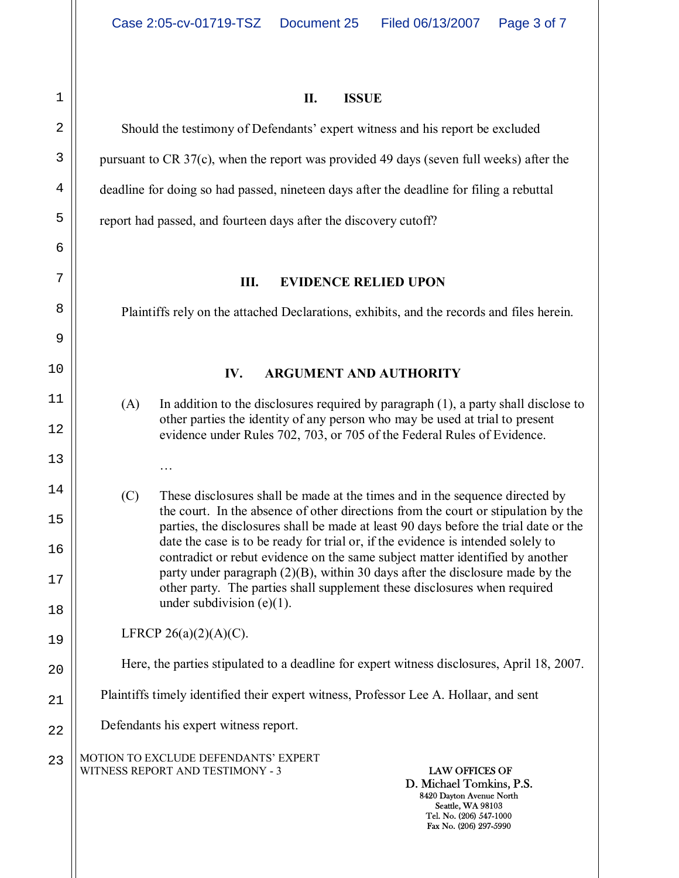1

**II. ISSUE** 

Should the testimony of Defendants' expert witness and his report be excluded pursuant to CR 37(c), when the report was provided 49 days (seven full weeks) after the deadline for doing so had passed, nineteen days after the deadline for filing a rebuttal

report had passed, and fourteen days after the discovery cutoff?

### **III. EVIDENCE RELIED UPON**

Plaintiffs rely on the attached Declarations, exhibits, and the records and files herein.

## **IV. ARGUMENT AND AUTHORITY**

(A) In addition to the disclosures required by paragraph (1), a party shall disclose to other parties the identity of any person who may be used at trial to present evidence under Rules 702, 703, or 705 of the Federal Rules of Evidence.

(C) These disclosures shall be made at the times and in the sequence directed by the court. In the absence of other directions from the court or stipulation by the parties, the disclosures shall be made at least 90 days before the trial date or the date the case is to be ready for trial or, if the evidence is intended solely to contradict or rebut evidence on the same subject matter identified by another party under paragraph (2)(B), within 30 days after the disclosure made by the other party. The parties shall supplement these disclosures when required under subdivision  $(e)(1)$ .

LFRCP  $26(a)(2)(A)(C)$ .

 $\ddotsc$ 

# Here, the parties stipulated to a deadline for expert witness disclosures, April 18, 2007.

Plaintiffs timely identified their expert witness, Professor Lee A. Hollaar, and sent

Defendants his expert witness report.

MOTION TO EXCLUDE DEFENDANTS' EXPERT WITNESS REPORT AND TESTIMONY - 3 **LAW OFFICES OF** 23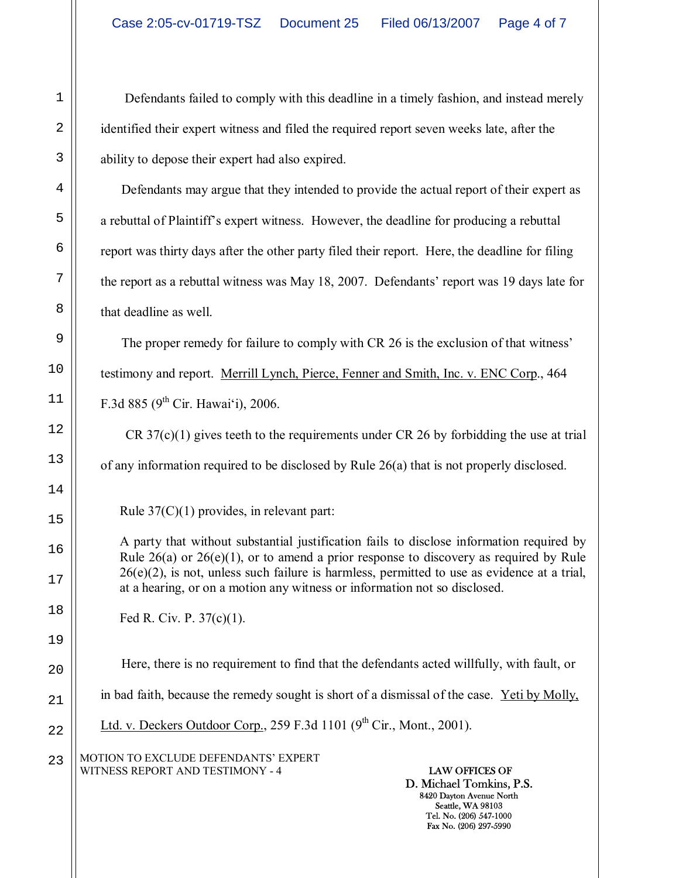Defendants failed to comply with this deadline in a timely fashion, and instead merely identified their expert witness and filed the required report seven weeks late, after the ability to depose their expert had also expired.

Defendants may argue that they intended to provide the actual report of their expert as a rebuttal of Plaintiffís expert witness. However, the deadline for producing a rebuttal report was thirty days after the other party filed their report. Here, the deadline for filing the report as a rebuttal witness was May 18, 2007. Defendants' report was 19 days late for that deadline as well.

The proper remedy for failure to comply with CR 26 is the exclusion of that witness<sup>7</sup> testimony and report. Merrill Lynch, Pierce, Fenner and Smith, Inc. v. ENC Corp., 464 F.3d 885 ( $9^{th}$  Cir. Hawai'i), 2006.

CR 37(c)(1) gives teeth to the requirements under CR 26 by forbidding the use at trial of any information required to be disclosed by Rule 26(a) that is not properly disclosed.

Rule 37(C)(1) provides, in relevant part:

A party that without substantial justification fails to disclose information required by Rule  $26(a)$  or  $26(e)(1)$ , or to amend a prior response to discovery as required by Rule  $26(e)(2)$ , is not, unless such failure is harmless, permitted to use as evidence at a trial, at a hearing, or on a motion any witness or information not so disclosed.

Fed R. Civ. P. 37(c)(1).

Here, there is no requirement to find that the defendants acted willfully, with fault, or in bad faith, because the remedy sought is short of a dismissal of the case. Yeti by Molly, Ltd. v. Deckers Outdoor Corp., 259 F.3d 1101 ( $9<sup>th</sup> Cir.$ , Mont., 2001).

MOTION TO EXCLUDE DEFENDANTS' EXPERT WITNESS REPORT AND TESTIMONY - 4 **LAW OFFICES OF**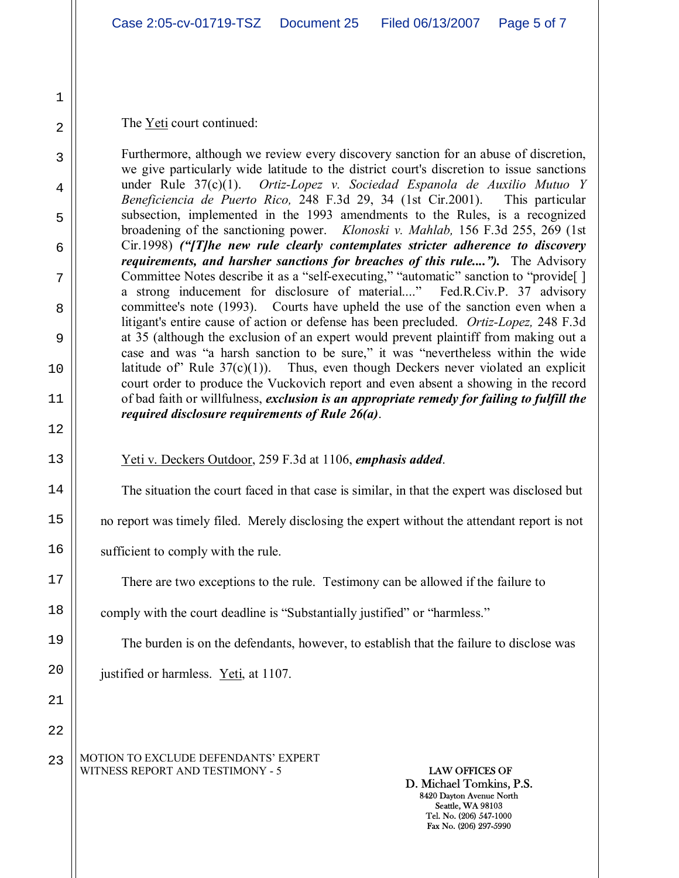The Yeti court continued:

Furthermore, although we review every discovery sanction for an abuse of discretion, we give particularly wide latitude to the district court's discretion to issue sanctions under Rule 37(c)(1). *Ortiz-Lopez v. Sociedad Espanola de Auxilio Mutuo Y Beneficiencia de Puerto Rico,* 248 F.3d 29, 34 (1st Cir.2001). This particular subsection, implemented in the 1993 amendments to the Rules, is a recognized broadening of the sanctioning power. *Klonoski v. Mahlab,* 156 F.3d 255, 269 (1st Cir.1998) *("[T]he new rule clearly contemplates stricter adherence to discovery requirements, and harsher sanctions for breaches of this rule...."*). The Advisory Committee Notes describe it as a "self-executing," "automatic" sanction to "provide[ ] a strong inducement for disclosure of material...." Fed.R.Civ.P. 37 advisory committee's note (1993). Courts have upheld the use of the sanction even when a litigant's entire cause of action or defense has been precluded. *Ortiz-Lopez,* 248 F.3d at 35 (although the exclusion of an expert would prevent plaintiff from making out a case and was "a harsh sanction to be sure," it was "nevertheless within the wide latitude of Rule  $37(c)(1)$ . Thus, even though Deckers never violated an explicit court order to produce the Vuckovich report and even absent a showing in the record of bad faith or willfulness, *exclusion is an appropriate remedy for failing to fulfill the required disclosure requirements of Rule 26(a)*.

Yeti v. Deckers Outdoor, 259 F.3d at 1106, *emphasis added*.

The situation the court faced in that case is similar, in that the expert was disclosed but

no report was timely filed. Merely disclosing the expert without the attendant report is not

sufficient to comply with the rule.

There are two exceptions to the rule. Testimony can be allowed if the failure to

comply with the court deadline is "Substantially justified" or "harmless."

The burden is on the defendants, however, to establish that the failure to disclose was

justified or harmless.  $Yeti$ , at 1107.</u>

MOTION TO EXCLUDE DEFENDANTS' EXPERT WITNESS REPORT AND TESTIMONY - 5 **LAW OFFICES OF**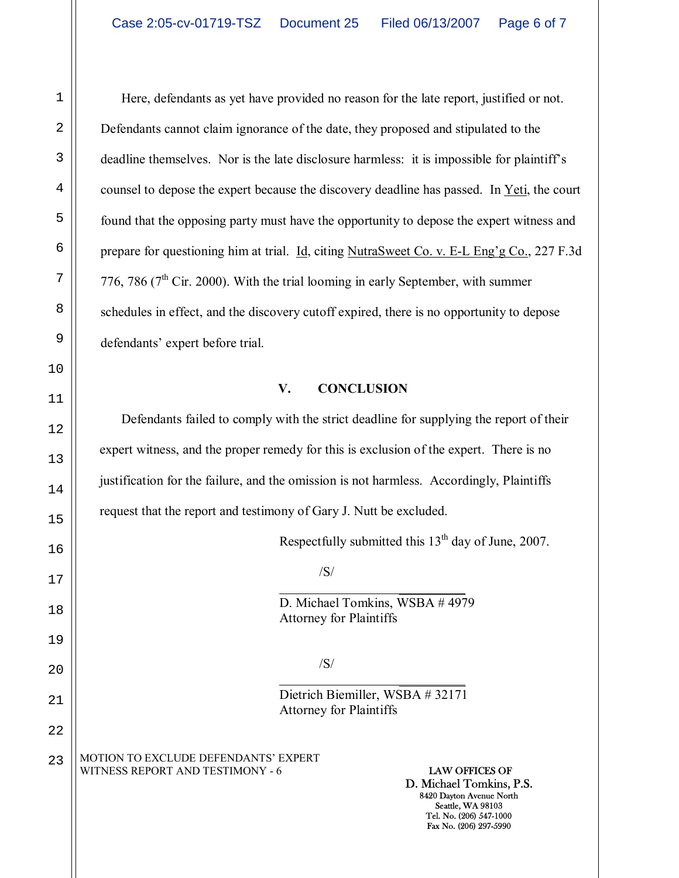Here, defendants as yet have provided no reason for the late report, justified or not. Defendants cannot claim ignorance of the date, they proposed and stipulated to the deadline themselves. Nor is the late disclosure harmless: it is impossible for plaintiff's counsel to depose the expert because the discovery deadline has passed. In Yeti, the court found that the opposing party must have the opportunity to depose the expert witness and prepare for questioning him at trial. Id, citing NutraSweet Co. v. E-L Eng'g Co., 227 F.3d 776, 786 ( $7<sup>th</sup>$  Cir. 2000). With the trial looming in early September, with summer schedules in effect, and the discovery cutoff expired, there is no opportunity to depose defendants' expert before trial.

## **V. CONCLUSION**

Defendants failed to comply with the strict deadline for supplying the report of their expert witness, and the proper remedy for this is exclusion of the expert. There is no justification for the failure, and the omission is not harmless. Accordingly, Plaintiffs request that the report and testimony of Gary J. Nutt be excluded.

Respectfully submitted this  $13<sup>th</sup>$  day of June, 2007.

#### /S/

 $\frac{1}{\sqrt{2}}$  , and the contract of  $\frac{1}{\sqrt{2}}$  , and  $\frac{1}{\sqrt{2}}$  , and  $\frac{1}{\sqrt{2}}$  , and  $\frac{1}{\sqrt{2}}$  D. Michael Tomkins, WSBA # 4979 Attorney for Plaintiffs

# $/S/$

 $\frac{1}{\sqrt{2}}$  , and the contract of  $\frac{1}{\sqrt{2}}$  , and  $\frac{1}{\sqrt{2}}$  , and  $\frac{1}{\sqrt{2}}$  , and  $\frac{1}{\sqrt{2}}$ 

 Dietrich Biemiller, WSBA # 32171 Attorney for Plaintiffs

#### MOTION TO EXCLUDE DEFENDANTS' EXPERT WITNESS REPORT AND TESTIMONY - 6 **LAW OFFICES OF**